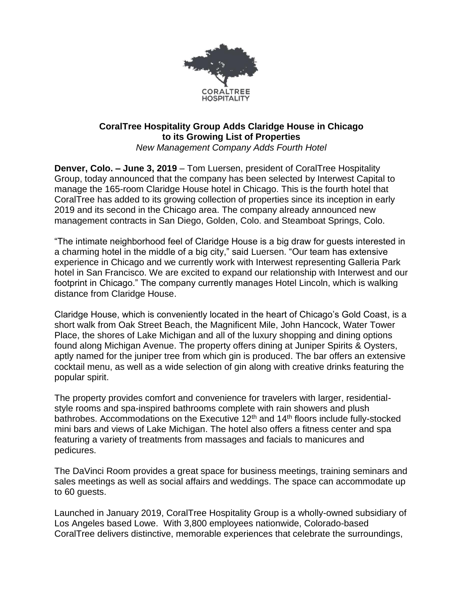

## **CoralTree Hospitality Group Adds Claridge House in Chicago to its Growing List of Properties** *New Management Company Adds Fourth Hotel*

**Denver, Colo. – June 3, 2019** – Tom Luersen, president of CoralTree Hospitality Group, today announced that the company has been selected by Interwest Capital to manage the 165-room Claridge House hotel in Chicago. This is the fourth hotel that CoralTree has added to its growing collection of properties since its inception in early 2019 and its second in the Chicago area. The company already announced new management contracts in San Diego, Golden, Colo. and Steamboat Springs, Colo.

"The intimate neighborhood feel of Claridge House is a big draw for guests interested in a charming hotel in the middle of a big city," said Luersen. "Our team has extensive experience in Chicago and we currently work with Interwest representing Galleria Park hotel in San Francisco. We are excited to expand our relationship with Interwest and our footprint in Chicago." The company currently manages Hotel Lincoln, which is walking distance from Claridge House.

Claridge House, which is conveniently located in the heart of Chicago's Gold Coast, is a short walk from Oak Street Beach, the Magnificent Mile, John Hancock, Water Tower Place, the shores of Lake Michigan and all of the luxury shopping and dining options found along Michigan Avenue. The property offers dining at Juniper Spirits & Oysters, aptly named for the juniper tree from which gin is produced. The bar offers an extensive cocktail menu, as well as a wide selection of gin along with creative drinks featuring the popular spirit.

The property provides comfort and convenience for travelers with larger, residentialstyle rooms and spa-inspired bathrooms complete with rain showers and plush bathrobes. Accommodations on the Executive 12<sup>th</sup> and 14<sup>th</sup> floors include fully-stocked mini bars and views of Lake Michigan. The hotel also offers a fitness center and spa featuring a variety of treatments from massages and facials to manicures and pedicures.

The DaVinci Room provides a great space for business meetings, training seminars and sales meetings as well as social affairs and weddings. The space can accommodate up to 60 guests.

Launched in January 2019, CoralTree Hospitality Group is a wholly-owned subsidiary of Los Angeles based Lowe. With 3,800 employees nationwide, Colorado-based CoralTree delivers distinctive, memorable experiences that celebrate the surroundings,